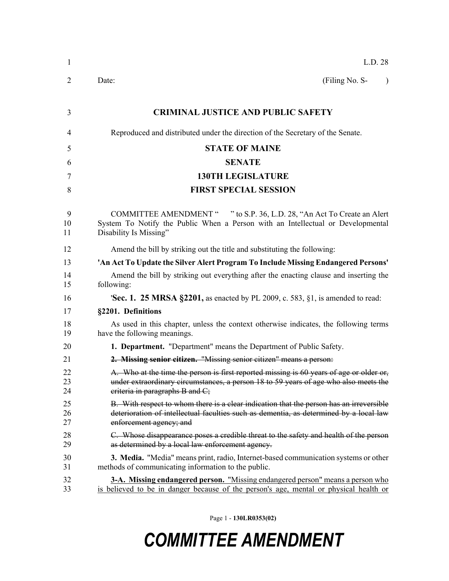| 1              | L.D. 28                                                                                                                                                                                                            |
|----------------|--------------------------------------------------------------------------------------------------------------------------------------------------------------------------------------------------------------------|
| 2              | Date:<br>(Filing No. S-<br>$\lambda$                                                                                                                                                                               |
| 3              | <b>CRIMINAL JUSTICE AND PUBLIC SAFETY</b>                                                                                                                                                                          |
| 4              | Reproduced and distributed under the direction of the Secretary of the Senate.                                                                                                                                     |
| 5              | <b>STATE OF MAINE</b>                                                                                                                                                                                              |
| 6              | <b>SENATE</b>                                                                                                                                                                                                      |
| 7              | <b>130TH LEGISLATURE</b>                                                                                                                                                                                           |
| 8              | <b>FIRST SPECIAL SESSION</b>                                                                                                                                                                                       |
| 9<br>10<br>11  | <b>COMMITTEE AMENDMENT "</b><br>" to S.P. 36, L.D. 28, "An Act To Create an Alert<br>System To Notify the Public When a Person with an Intellectual or Developmental<br>Disability Is Missing"                     |
| 12             | Amend the bill by striking out the title and substituting the following:                                                                                                                                           |
| 13             | 'An Act To Update the Silver Alert Program To Include Missing Endangered Persons'                                                                                                                                  |
| 14<br>15       | Amend the bill by striking out everything after the enacting clause and inserting the<br>following:                                                                                                                |
| 16             | 'Sec. 1. 25 MRSA §2201, as enacted by PL 2009, c. 583, §1, is amended to read:                                                                                                                                     |
| 17             | §2201. Definitions                                                                                                                                                                                                 |
| 18<br>19       | As used in this chapter, unless the context otherwise indicates, the following terms<br>have the following meanings.                                                                                               |
| 20             | 1. Department. "Department" means the Department of Public Safety.                                                                                                                                                 |
| 21             | 2. Missing senior citizen. "Missing senior citizen" means a person:                                                                                                                                                |
| 22<br>23<br>24 | A. Who at the time the person is first reported missing is 60 years of age or older or,<br>under extraordinary circumstances, a person 18 to 59 years of age who also meets the<br>eriteria in paragraphs B and C; |
| 25<br>26<br>27 | B. With respect to whom there is a clear indication that the person has an irreversible<br>deterioration of intellectual faculties such as dementia, as determined by a local law<br>enforcement agency; and       |
| 28<br>29       | C. Whose disappearance poses a credible threat to the safety and health of the person<br>as determined by a local law enforcement agency.                                                                          |
| 30<br>31       | 3. Media. "Media" means print, radio, Internet-based communication systems or other<br>methods of communicating information to the public.                                                                         |
| 32<br>33       | <b>3-A. Missing endangered person.</b> "Missing endangered person" means a person who<br>is believed to be in danger because of the person's age, mental or physical health or                                     |

Page 1 - **130LR0353(02)**

## *COMMITTEE AMENDMENT*